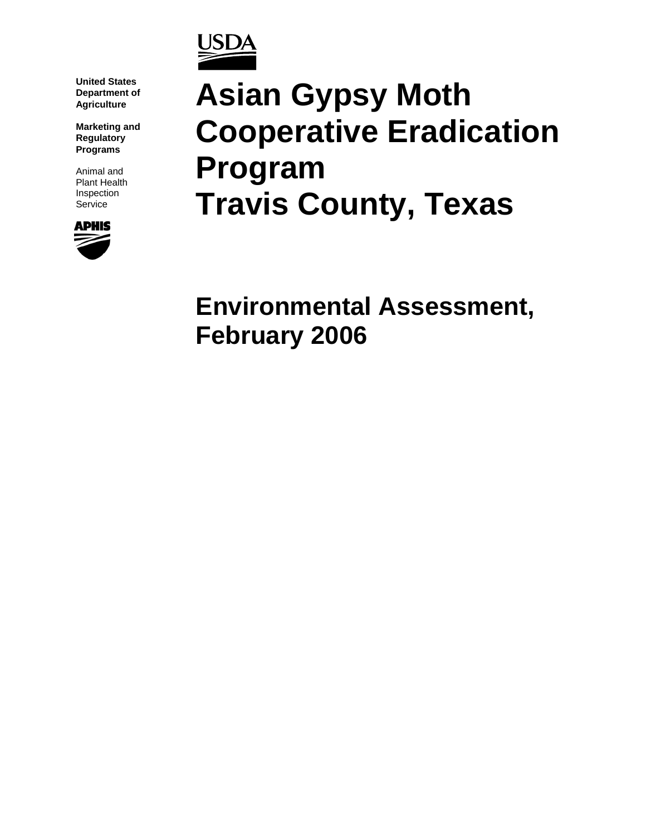

**United States Department of Agriculture**

**Marketing and Regulatory Programs**

Animal and Plant Health Inspection **Service** 



# **Asian Gypsy Moth Cooperative Eradication Program Travis County, Texas**

**Environmental Assessment, February 2006**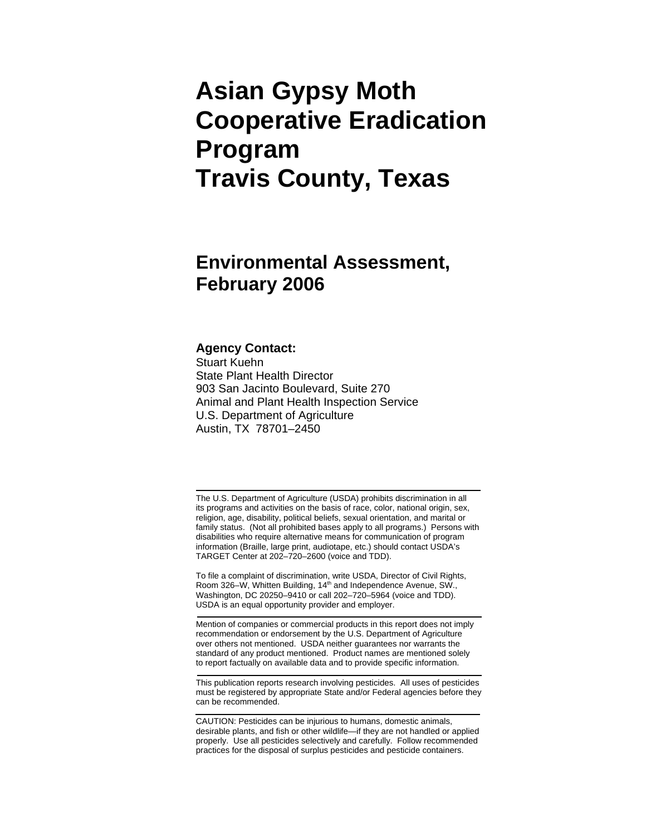# **Asian Gypsy Moth Cooperative Eradication Program Travis County, Texas**

# **Environmental Assessment, February 2006**

#### **Agency Contact:**

Stuart Kuehn State Plant Health Director 903 San Jacinto Boulevard, Suite 270 Animal and Plant Health Inspection Service U.S. Department of Agriculture Austin, TX 78701–2450

The U.S. Department of Agriculture (USDA) prohibits discrimination in all its programs and activities on the basis of race, color, national origin, sex, religion, age, disability, political beliefs, sexual orientation, and marital or family status. (Not all prohibited bases apply to all programs.) Persons with disabilities who require alternative means for communication of program information (Braille, large print, audiotape, etc.) should contact USDA's TARGET Center at 202–720–2600 (voice and TDD).

To file a complaint of discrimination, write USDA, Director of Civil Rights, Room 326–W, Whitten Building, 14<sup>th</sup> and Independence Avenue, SW., Washington, DC 20250–9410 or call 202–720–5964 (voice and TDD). USDA is an equal opportunity provider and employer.

Mention of companies or commercial products in this report does not imply recommendation or endorsement by the U.S. Department of Agriculture over others not mentioned. USDA neither guarantees nor warrants the standard of any product mentioned. Product names are mentioned solely to report factually on available data and to provide specific information.

This publication reports research involving pesticides. All uses of pesticides must be registered by appropriate State and/or Federal agencies before they can be recommended.

CAUTION: Pesticides can be injurious to humans, domestic animals, desirable plants, and fish or other wildlife—if they are not handled or applied properly. Use all pesticides selectively and carefully. Follow recommended practices for the disposal of surplus pesticides and pesticide containers.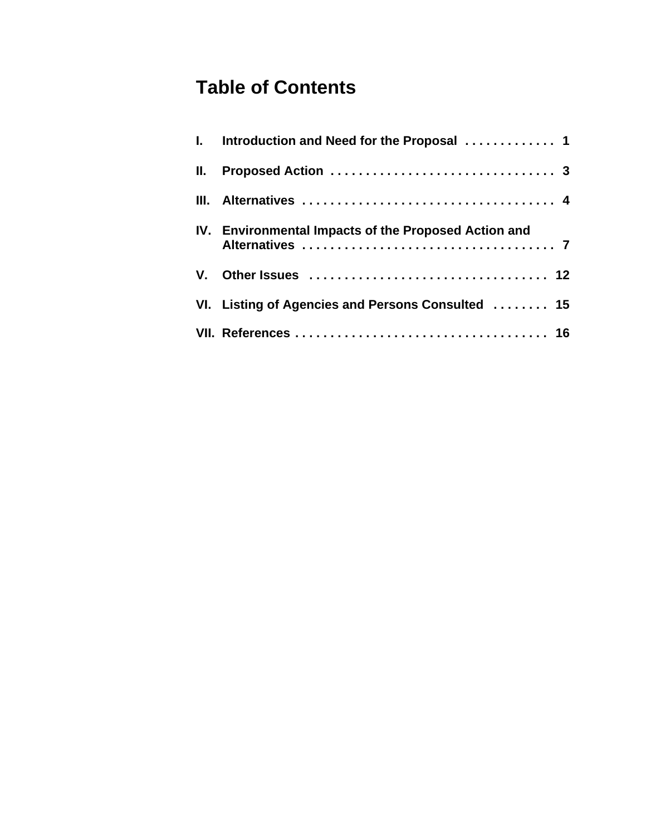# **Table of Contents**

| I. Introduction and Need for the Proposal  1         |
|------------------------------------------------------|
|                                                      |
|                                                      |
| IV. Environmental Impacts of the Proposed Action and |
|                                                      |
| VI. Listing of Agencies and Persons Consulted  15    |
|                                                      |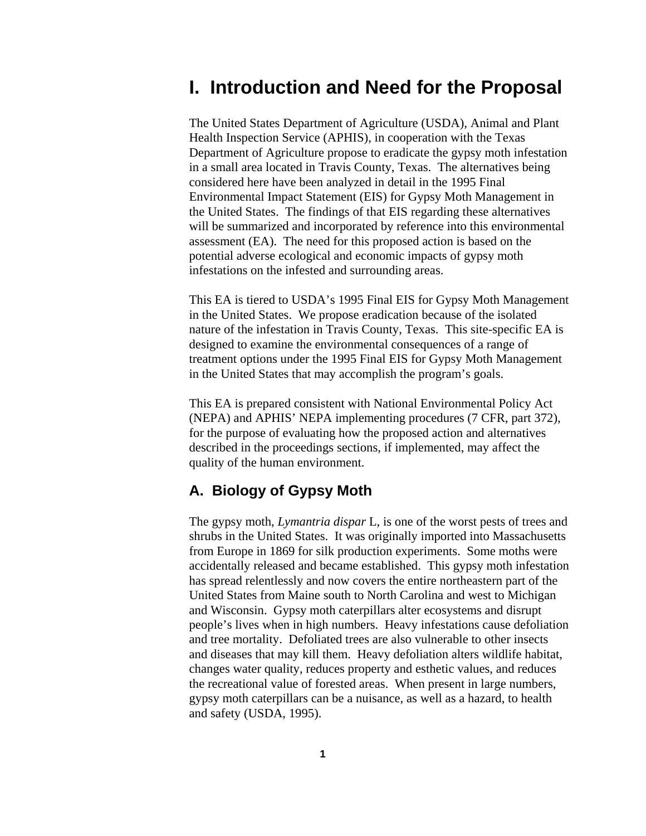# **I. Introduction and Need for the Proposal**

The United States Department of Agriculture (USDA), Animal and Plant Health Inspection Service (APHIS), in cooperation with the Texas Department of Agriculture propose to eradicate the gypsy moth infestation in a small area located in Travis County, Texas. The alternatives being considered here have been analyzed in detail in the 1995 Final Environmental Impact Statement (EIS) for Gypsy Moth Management in the United States. The findings of that EIS regarding these alternatives will be summarized and incorporated by reference into this environmental assessment (EA). The need for this proposed action is based on the potential adverse ecological and economic impacts of gypsy moth infestations on the infested and surrounding areas.

This EA is tiered to USDA's 1995 Final EIS for Gypsy Moth Management in the United States. We propose eradication because of the isolated nature of the infestation in Travis County, Texas. This site-specific EA is designed to examine the environmental consequences of a range of treatment options under the 1995 Final EIS for Gypsy Moth Management in the United States that may accomplish the program's goals.

This EA is prepared consistent with National Environmental Policy Act (NEPA) and APHIS' NEPA implementing procedures (7 CFR, part 372), for the purpose of evaluating how the proposed action and alternatives described in the proceedings sections, if implemented, may affect the quality of the human environment.

#### **A. Biology of Gypsy Moth**

The gypsy moth, *Lymantria dispar* L, is one of the worst pests of trees and shrubs in the United States. It was originally imported into Massachusetts from Europe in 1869 for silk production experiments. Some moths were accidentally released and became established. This gypsy moth infestation has spread relentlessly and now covers the entire northeastern part of the United States from Maine south to North Carolina and west to Michigan and Wisconsin. Gypsy moth caterpillars alter ecosystems and disrupt people's lives when in high numbers. Heavy infestations cause defoliation and tree mortality. Defoliated trees are also vulnerable to other insects and diseases that may kill them. Heavy defoliation alters wildlife habitat, changes water quality, reduces property and esthetic values, and reduces the recreational value of forested areas. When present in large numbers, gypsy moth caterpillars can be a nuisance, as well as a hazard, to health and safety (USDA, 1995).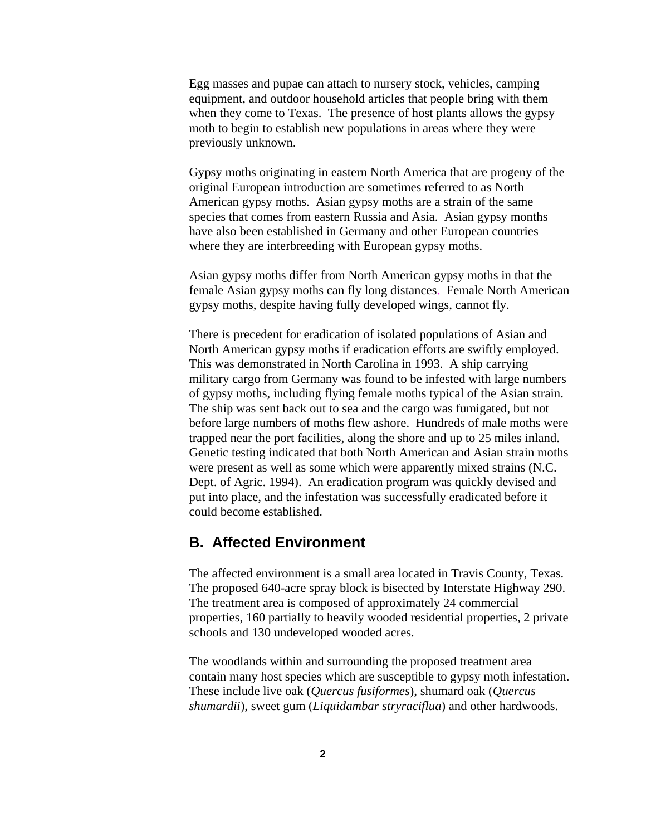Egg masses and pupae can attach to nursery stock, vehicles, camping equipment, and outdoor household articles that people bring with them when they come to Texas. The presence of host plants allows the gypsy moth to begin to establish new populations in areas where they were previously unknown.

Gypsy moths originating in eastern North America that are progeny of the original European introduction are sometimes referred to as North American gypsy moths. Asian gypsy moths are a strain of the same species that comes from eastern Russia and Asia. Asian gypsy months have also been established in Germany and other European countries where they are interbreeding with European gypsy moths.

Asian gypsy moths differ from North American gypsy moths in that the female Asian gypsy moths can fly long distances. Female North American gypsy moths, despite having fully developed wings, cannot fly.

There is precedent for eradication of isolated populations of Asian and North American gypsy moths if eradication efforts are swiftly employed. This was demonstrated in North Carolina in 1993. A ship carrying military cargo from Germany was found to be infested with large numbers of gypsy moths, including flying female moths typical of the Asian strain. The ship was sent back out to sea and the cargo was fumigated, but not before large numbers of moths flew ashore. Hundreds of male moths were trapped near the port facilities, along the shore and up to 25 miles inland. Genetic testing indicated that both North American and Asian strain moths were present as well as some which were apparently mixed strains (N.C. Dept. of Agric. 1994). An eradication program was quickly devised and put into place, and the infestation was successfully eradicated before it could become established.

#### **B. Affected Environment**

The affected environment is a small area located in Travis County, Texas. The proposed 640-acre spray block is bisected by Interstate Highway 290. The treatment area is composed of approximately 24 commercial properties, 160 partially to heavily wooded residential properties, 2 private schools and 130 undeveloped wooded acres.

The woodlands within and surrounding the proposed treatment area contain many host species which are susceptible to gypsy moth infestation. These include live oak (*Quercus fusiformes*), shumard oak (*Quercus shumardii*), sweet gum (*Liquidambar stryraciflua*) and other hardwoods.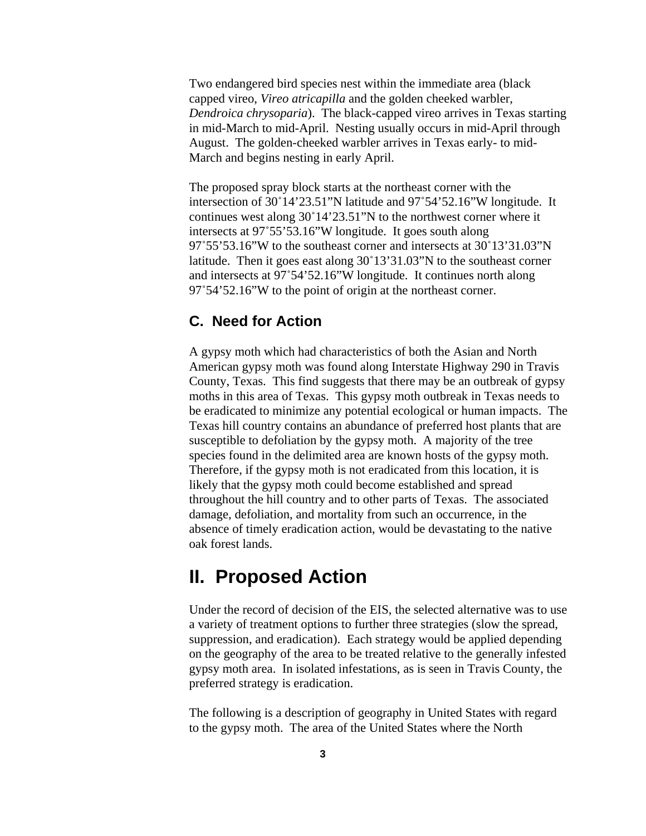Two endangered bird species nest within the immediate area (black capped vireo, *Vireo atricapilla* and the golden cheeked warbler, *Dendroica chrysoparia*). The black-capped vireo arrives in Texas starting in mid-March to mid-April. Nesting usually occurs in mid-April through August. The golden-cheeked warbler arrives in Texas early- to mid-March and begins nesting in early April.

The proposed spray block starts at the northeast corner with the intersection of 30°14'23.51"N latitude and 97°54'52.16"W longitude. It continues west along  $30^{\circ}14'23.51''N$  to the northwest corner where it intersects at 97°55'53.16"W longitude. It goes south along  $97^{\circ}55'53.16''$  w to the southeast corner and intersects at  $30^{\circ}13'31.03''$  N latitude. Then it goes east along  $30^{\circ}13'31.03''$ N to the southeast corner and intersects at  $97^{\circ}54'52.16''$ W longitude. It continues north along  $97^{\circ}54'52.16''$  to the point of origin at the northeast corner.

#### **C. Need for Action**

A gypsy moth which had characteristics of both the Asian and North American gypsy moth was found along Interstate Highway 290 in Travis County, Texas. This find suggests that there may be an outbreak of gypsy moths in this area of Texas. This gypsy moth outbreak in Texas needs to be eradicated to minimize any potential ecological or human impacts. The Texas hill country contains an abundance of preferred host plants that are susceptible to defoliation by the gypsy moth. A majority of the tree species found in the delimited area are known hosts of the gypsy moth. Therefore, if the gypsy moth is not eradicated from this location, it is likely that the gypsy moth could become established and spread throughout the hill country and to other parts of Texas. The associated damage, defoliation, and mortality from such an occurrence, in the absence of timely eradication action, would be devastating to the native oak forest lands.

# **II. Proposed Action**

Under the record of decision of the EIS, the selected alternative was to use a variety of treatment options to further three strategies (slow the spread, suppression, and eradication). Each strategy would be applied depending on the geography of the area to be treated relative to the generally infested gypsy moth area. In isolated infestations, as is seen in Travis County, the preferred strategy is eradication.

The following is a description of geography in United States with regard to the gypsy moth. The area of the United States where the North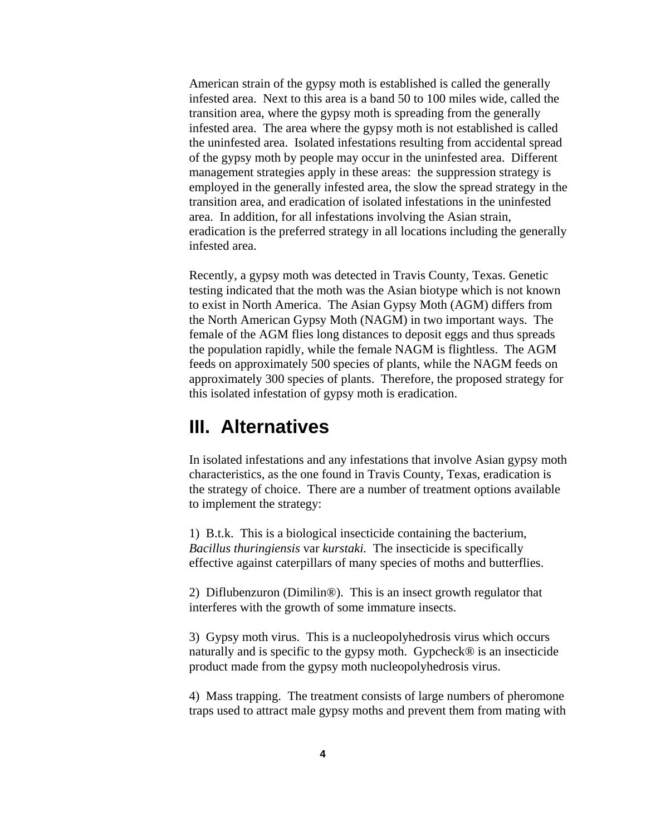American strain of the gypsy moth is established is called the generally infested area. Next to this area is a band 50 to 100 miles wide, called the transition area, where the gypsy moth is spreading from the generally infested area. The area where the gypsy moth is not established is called the uninfested area. Isolated infestations resulting from accidental spread of the gypsy moth by people may occur in the uninfested area. Different management strategies apply in these areas: the suppression strategy is employed in the generally infested area, the slow the spread strategy in the transition area, and eradication of isolated infestations in the uninfested area. In addition, for all infestations involving the Asian strain, eradication is the preferred strategy in all locations including the generally infested area.

Recently, a gypsy moth was detected in Travis County, Texas. Genetic testing indicated that the moth was the Asian biotype which is not known to exist in North America. The Asian Gypsy Moth (AGM) differs from the North American Gypsy Moth (NAGM) in two important ways. The female of the AGM flies long distances to deposit eggs and thus spreads the population rapidly, while the female NAGM is flightless. The AGM feeds on approximately 500 species of plants, while the NAGM feeds on approximately 300 species of plants. Therefore, the proposed strategy for this isolated infestation of gypsy moth is eradication.

## **III. Alternatives**

In isolated infestations and any infestations that involve Asian gypsy moth characteristics, as the one found in Travis County, Texas, eradication is the strategy of choice. There are a number of treatment options available to implement the strategy:

1) B.t.k. This is a biological insecticide containing the bacterium, *Bacillus thuringiensis* var *kurstaki.* The insecticide is specifically effective against caterpillars of many species of moths and butterflies.

2) Diflubenzuron (Dimilin®). This is an insect growth regulator that interferes with the growth of some immature insects.

3) Gypsy moth virus. This is a nucleopolyhedrosis virus which occurs naturally and is specific to the gypsy moth. Gypcheck® is an insecticide product made from the gypsy moth nucleopolyhedrosis virus.

4) Mass trapping. The treatment consists of large numbers of pheromone traps used to attract male gypsy moths and prevent them from mating with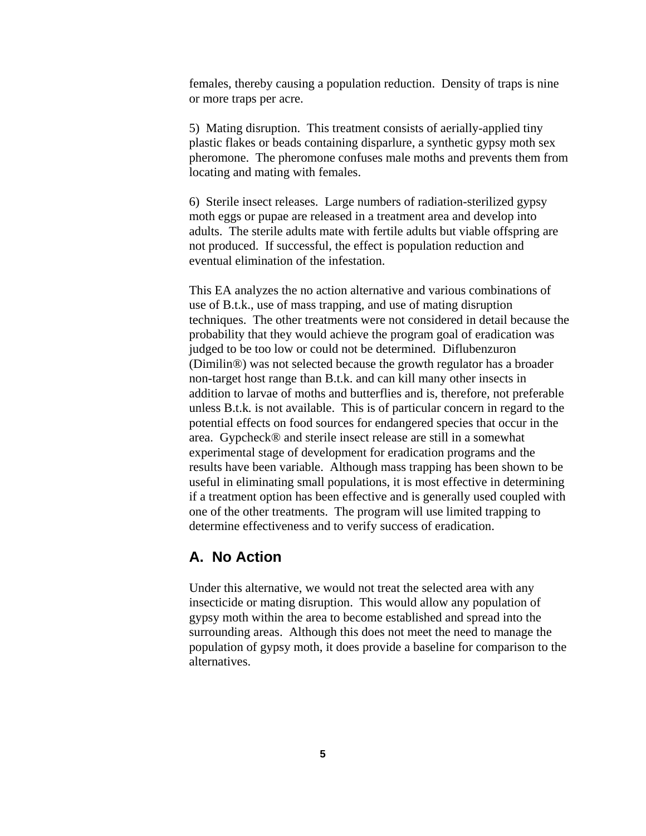females, thereby causing a population reduction. Density of traps is nine or more traps per acre.

5) Mating disruption. This treatment consists of aerially-applied tiny plastic flakes or beads containing disparlure, a synthetic gypsy moth sex pheromone. The pheromone confuses male moths and prevents them from locating and mating with females.

6) Sterile insect releases. Large numbers of radiation-sterilized gypsy moth eggs or pupae are released in a treatment area and develop into adults. The sterile adults mate with fertile adults but viable offspring are not produced. If successful, the effect is population reduction and eventual elimination of the infestation.

This EA analyzes the no action alternative and various combinations of use of B.t.k., use of mass trapping, and use of mating disruption techniques. The other treatments were not considered in detail because the probability that they would achieve the program goal of eradication was judged to be too low or could not be determined. Diflubenzuron (Dimilin®) was not selected because the growth regulator has a broader non-target host range than B.t.k. and can kill many other insects in addition to larvae of moths and butterflies and is, therefore, not preferable unless B.t.k*.* is not available. This is of particular concern in regard to the potential effects on food sources for endangered species that occur in the area. Gypcheck® and sterile insect release are still in a somewhat experimental stage of development for eradication programs and the results have been variable. Although mass trapping has been shown to be useful in eliminating small populations, it is most effective in determining if a treatment option has been effective and is generally used coupled with one of the other treatments. The program will use limited trapping to determine effectiveness and to verify success of eradication.

#### **A. No Action**

Under this alternative, we would not treat the selected area with any insecticide or mating disruption. This would allow any population of gypsy moth within the area to become established and spread into the surrounding areas. Although this does not meet the need to manage the population of gypsy moth, it does provide a baseline for comparison to the alternatives.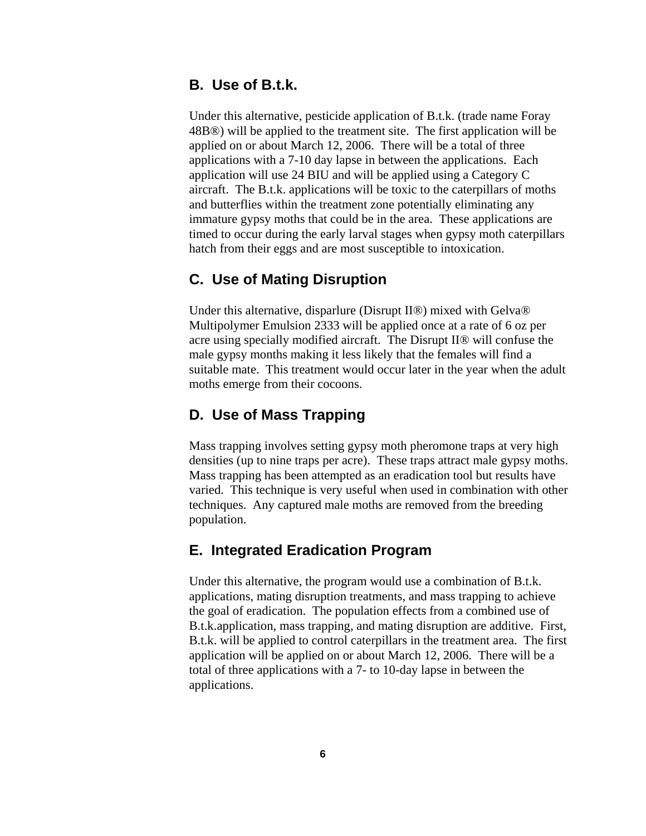#### **B. Use of B.t.k.**

Under this alternative, pesticide application of B.t.k. (trade name Foray 48B®) will be applied to the treatment site. The first application will be applied on or about March 12, 2006. There will be a total of three applications with a 7-10 day lapse in between the applications. Each application will use 24 BIU and will be applied using a Category C aircraft. The B.t.k. applications will be toxic to the caterpillars of moths and butterflies within the treatment zone potentially eliminating any immature gypsy moths that could be in the area. These applications are timed to occur during the early larval stages when gypsy moth caterpillars hatch from their eggs and are most susceptible to intoxication.

#### **C. Use of Mating Disruption**

Under this alternative, disparlure (Disrupt II®) mixed with Gelva® Multipolymer Emulsion 2333 will be applied once at a rate of 6 oz per acre using specially modified aircraft. The Disrupt II® will confuse the male gypsy months making it less likely that the females will find a suitable mate. This treatment would occur later in the year when the adult moths emerge from their cocoons.

#### **D. Use of Mass Trapping**

Mass trapping involves setting gypsy moth pheromone traps at very high densities (up to nine traps per acre). These traps attract male gypsy moths. Mass trapping has been attempted as an eradication tool but results have varied. This technique is very useful when used in combination with other techniques. Any captured male moths are removed from the breeding population.

#### **E. Integrated Eradication Program**

Under this alternative, the program would use a combination of B.t.k. applications, mating disruption treatments, and mass trapping to achieve the goal of eradication. The population effects from a combined use of B.t.k.application, mass trapping, and mating disruption are additive. First, B.t.k. will be applied to control caterpillars in the treatment area. The first application will be applied on or about March 12, 2006. There will be a total of three applications with a 7- to 10-day lapse in between the applications.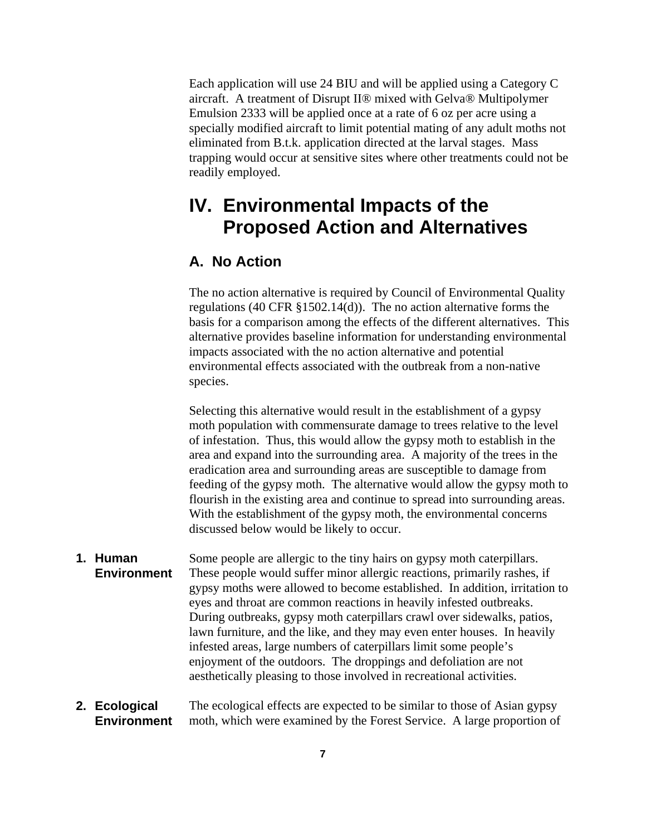Each application will use 24 BIU and will be applied using a Category C aircraft. A treatment of Disrupt II® mixed with Gelva® Multipolymer Emulsion 2333 will be applied once at a rate of 6 oz per acre using a specially modified aircraft to limit potential mating of any adult moths not eliminated from B.t.k. application directed at the larval stages. Mass trapping would occur at sensitive sites where other treatments could not be readily employed.

# **IV. Environmental Impacts of the Proposed Action and Alternatives**

### **A. No Action**

The no action alternative is required by Council of Environmental Quality regulations (40 CFR §1502.14(d)). The no action alternative forms the basis for a comparison among the effects of the different alternatives. This alternative provides baseline information for understanding environmental impacts associated with the no action alternative and potential environmental effects associated with the outbreak from a non-native species.

Selecting this alternative would result in the establishment of a gypsy moth population with commensurate damage to trees relative to the level of infestation. Thus, this would allow the gypsy moth to establish in the area and expand into the surrounding area. A majority of the trees in the eradication area and surrounding areas are susceptible to damage from feeding of the gypsy moth. The alternative would allow the gypsy moth to flourish in the existing area and continue to spread into surrounding areas. With the establishment of the gypsy moth, the environmental concerns discussed below would be likely to occur.

**1. Human Environment** Some people are allergic to the tiny hairs on gypsy moth caterpillars. These people would suffer minor allergic reactions, primarily rashes, if gypsy moths were allowed to become established. In addition, irritation to eyes and throat are common reactions in heavily infested outbreaks. During outbreaks, gypsy moth caterpillars crawl over sidewalks, patios, lawn furniture, and the like, and they may even enter houses. In heavily infested areas, large numbers of caterpillars limit some people's enjoyment of the outdoors. The droppings and defoliation are not aesthetically pleasing to those involved in recreational activities.

#### **2. Ecological Environment** The ecological effects are expected to be similar to those of Asian gypsy moth, which were examined by the Forest Service. A large proportion of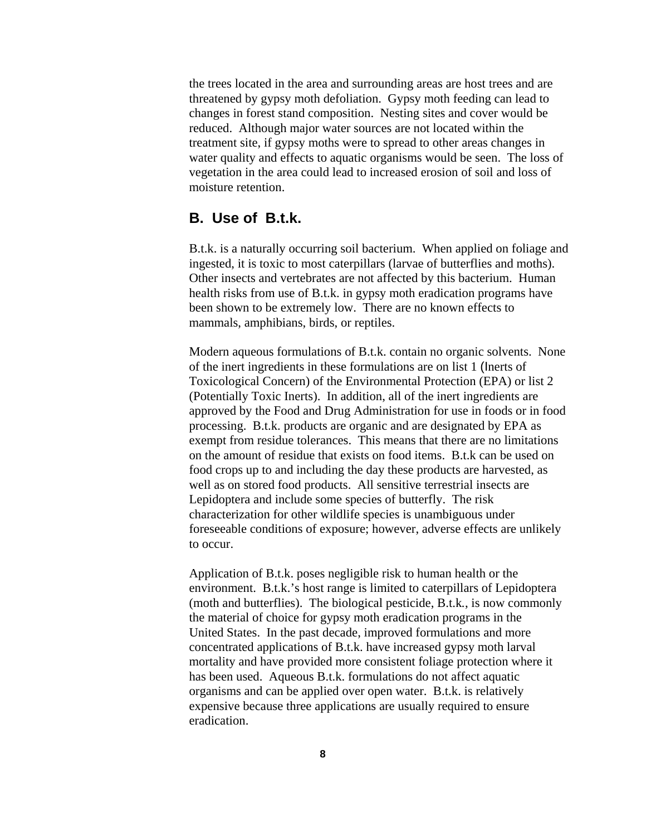the trees located in the area and surrounding areas are host trees and are threatened by gypsy moth defoliation. Gypsy moth feeding can lead to changes in forest stand composition. Nesting sites and cover would be reduced. Although major water sources are not located within the treatment site, if gypsy moths were to spread to other areas changes in water quality and effects to aquatic organisms would be seen. The loss of vegetation in the area could lead to increased erosion of soil and loss of moisture retention.

#### **B. Use of B.t.k.**

B.t.k. is a naturally occurring soil bacterium. When applied on foliage and ingested, it is toxic to most caterpillars (larvae of butterflies and moths). Other insects and vertebrates are not affected by this bacterium. Human health risks from use of B.t.k. in gypsy moth eradication programs have been shown to be extremely low. There are no known effects to mammals, amphibians, birds, or reptiles.

Modern aqueous formulations of B.t.k. contain no organic solvents. None of the inert ingredients in these formulations are on list 1 (Inerts of Toxicological Concern) of the Environmental Protection (EPA) or list 2 (Potentially Toxic Inerts). In addition, all of the inert ingredients are approved by the Food and Drug Administration for use in foods or in food processing. B.t.k. products are organic and are designated by EPA as exempt from residue tolerances. This means that there are no limitations on the amount of residue that exists on food items. B.t.k can be used on food crops up to and including the day these products are harvested, as well as on stored food products. All sensitive terrestrial insects are Lepidoptera and include some species of butterfly. The risk characterization for other wildlife species is unambiguous under foreseeable conditions of exposure; however, adverse effects are unlikely to occur.

Application of B.t.k. poses negligible risk to human health or the environment. B.t.k.'s host range is limited to caterpillars of Lepidoptera (moth and butterflies). The biological pesticide, B.t.k*.*, is now commonly the material of choice for gypsy moth eradication programs in the United States. In the past decade, improved formulations and more concentrated applications of B.t.k. have increased gypsy moth larval mortality and have provided more consistent foliage protection where it has been used. Aqueous B.t.k. formulations do not affect aquatic organisms and can be applied over open water. B.t.k. is relatively expensive because three applications are usually required to ensure eradication.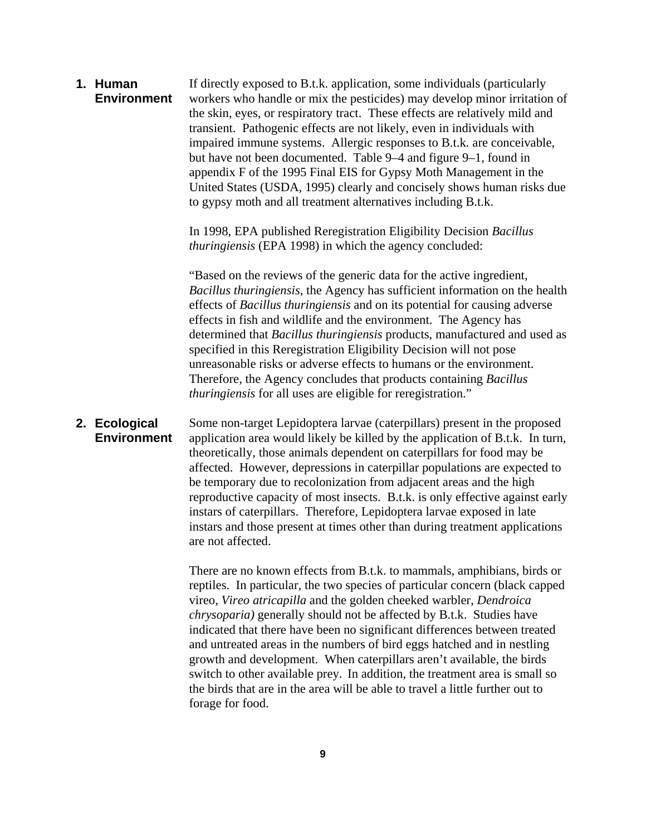**1. Human Environment** If directly exposed to B.t.k. application, some individuals (particularly workers who handle or mix the pesticides) may develop minor irritation of the skin, eyes, or respiratory tract. These effects are relatively mild and transient. Pathogenic effects are not likely, even in individuals with impaired immune systems. Allergic responses to B.t.k*.* are conceivable, but have not been documented. Table 9–4 and figure 9–1, found in appendix F of the 1995 Final EIS for Gypsy Moth Management in the United States (USDA, 1995) clearly and concisely shows human risks due to gypsy moth and all treatment alternatives including B.t.k.

> In 1998, EPA published Reregistration Eligibility Decision *Bacillus thuringiensis* (EPA 1998) in which the agency concluded:

"Based on the reviews of the generic data for the active ingredient, *Bacillus thuringiensis*, the Agency has sufficient information on the health effects of *Bacillus thuringiensis* and on its potential for causing adverse effects in fish and wildlife and the environment. The Agency has determined that *Bacillus thuringiensis* products, manufactured and used as specified in this Reregistration Eligibility Decision will not pose unreasonable risks or adverse effects to humans or the environment. Therefore, the Agency concludes that products containing *Bacillus thuringiensis* for all uses are eligible for reregistration."

**2. Ecological Environment** Some non-target Lepidoptera larvae (caterpillars) present in the proposed application area would likely be killed by the application of B.t.k. In turn, theoretically, those animals dependent on caterpillars for food may be affected. However, depressions in caterpillar populations are expected to be temporary due to recolonization from adjacent areas and the high reproductive capacity of most insects. B.t.k. is only effective against early instars of caterpillars. Therefore, Lepidoptera larvae exposed in late instars and those present at times other than during treatment applications are not affected.

> There are no known effects from B.t.k. to mammals, amphibians, birds or reptiles. In particular, the two species of particular concern (black capped vireo, *Vireo atricapilla* and the golden cheeked warbler, *Dendroica chrysoparia)* generally should not be affected by B.t.k. Studies have indicated that there have been no significant differences between treated and untreated areas in the numbers of bird eggs hatched and in nestling growth and development. When caterpillars aren't available, the birds switch to other available prey. In addition, the treatment area is small so the birds that are in the area will be able to travel a little further out to forage for food.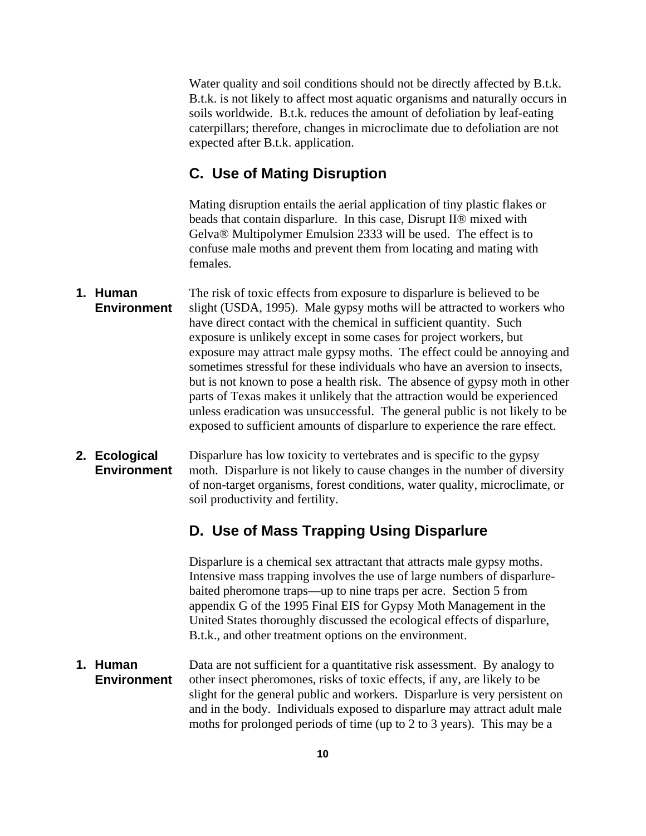Water quality and soil conditions should not be directly affected by B.t.k. B.t.k. is not likely to affect most aquatic organisms and naturally occurs in soils worldwide. B.t.k. reduces the amount of defoliation by leaf-eating caterpillars; therefore, changes in microclimate due to defoliation are not expected after B.t.k. application.

#### **C. Use of Mating Disruption**

Mating disruption entails the aerial application of tiny plastic flakes or beads that contain disparlure. In this case, Disrupt II® mixed with Gelva® Multipolymer Emulsion 2333 will be used. The effect is to confuse male moths and prevent them from locating and mating with females.

**1. Human Environment** The risk of toxic effects from exposure to disparlure is believed to be slight (USDA, 1995). Male gypsy moths will be attracted to workers who have direct contact with the chemical in sufficient quantity. Such exposure is unlikely except in some cases for project workers, but exposure may attract male gypsy moths. The effect could be annoying and sometimes stressful for these individuals who have an aversion to insects, but is not known to pose a health risk. The absence of gypsy moth in other parts of Texas makes it unlikely that the attraction would be experienced unless eradication was unsuccessful. The general public is not likely to be exposed to sufficient amounts of disparlure to experience the rare effect.

#### **2. Ecological Environment** Disparlure has low toxicity to vertebrates and is specific to the gypsy moth. Disparlure is not likely to cause changes in the number of diversity of non-target organisms, forest conditions, water quality, microclimate, or soil productivity and fertility.

### **D. Use of Mass Trapping Using Disparlure**

Disparlure is a chemical sex attractant that attracts male gypsy moths. Intensive mass trapping involves the use of large numbers of disparlurebaited pheromone traps—up to nine traps per acre. Section 5 from appendix G of the 1995 Final EIS for Gypsy Moth Management in the United States thoroughly discussed the ecological effects of disparlure, B.t.k., and other treatment options on the environment.

**1. Human Environment** Data are not sufficient for a quantitative risk assessment. By analogy to other insect pheromones, risks of toxic effects, if any, are likely to be slight for the general public and workers. Disparlure is very persistent on and in the body. Individuals exposed to disparlure may attract adult male moths for prolonged periods of time (up to 2 to 3 years). This may be a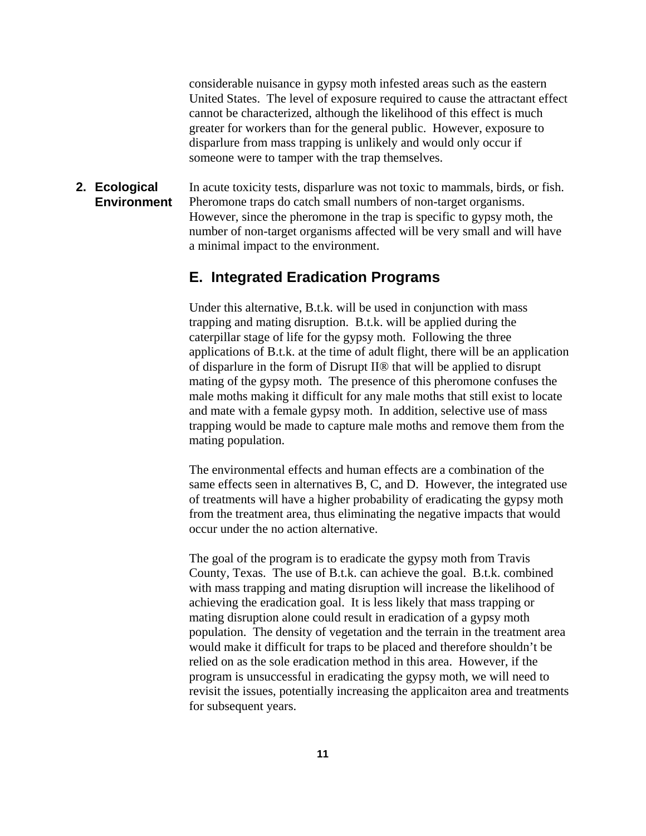considerable nuisance in gypsy moth infested areas such as the eastern United States. The level of exposure required to cause the attractant effect cannot be characterized, although the likelihood of this effect is much greater for workers than for the general public. However, exposure to disparlure from mass trapping is unlikely and would only occur if someone were to tamper with the trap themselves.

**2. Ecological Environment** In acute toxicity tests, disparlure was not toxic to mammals, birds, or fish. Pheromone traps do catch small numbers of non-target organisms. However, since the pheromone in the trap is specific to gypsy moth, the number of non-target organisms affected will be very small and will have a minimal impact to the environment.

#### **E. Integrated Eradication Programs**

Under this alternative, B.t.k. will be used in conjunction with mass trapping and mating disruption. B.t.k. will be applied during the caterpillar stage of life for the gypsy moth. Following the three applications of B.t.k. at the time of adult flight, there will be an application of disparlure in the form of Disrupt II® that will be applied to disrupt mating of the gypsy moth. The presence of this pheromone confuses the male moths making it difficult for any male moths that still exist to locate and mate with a female gypsy moth. In addition, selective use of mass trapping would be made to capture male moths and remove them from the mating population.

The environmental effects and human effects are a combination of the same effects seen in alternatives B, C, and D. However, the integrated use of treatments will have a higher probability of eradicating the gypsy moth from the treatment area, thus eliminating the negative impacts that would occur under the no action alternative.

The goal of the program is to eradicate the gypsy moth from Travis County, Texas. The use of B.t.k. can achieve the goal. B.t.k. combined with mass trapping and mating disruption will increase the likelihood of achieving the eradication goal. It is less likely that mass trapping or mating disruption alone could result in eradication of a gypsy moth population. The density of vegetation and the terrain in the treatment area would make it difficult for traps to be placed and therefore shouldn't be relied on as the sole eradication method in this area. However, if the program is unsuccessful in eradicating the gypsy moth, we will need to revisit the issues, potentially increasing the applicaiton area and treatments for subsequent years.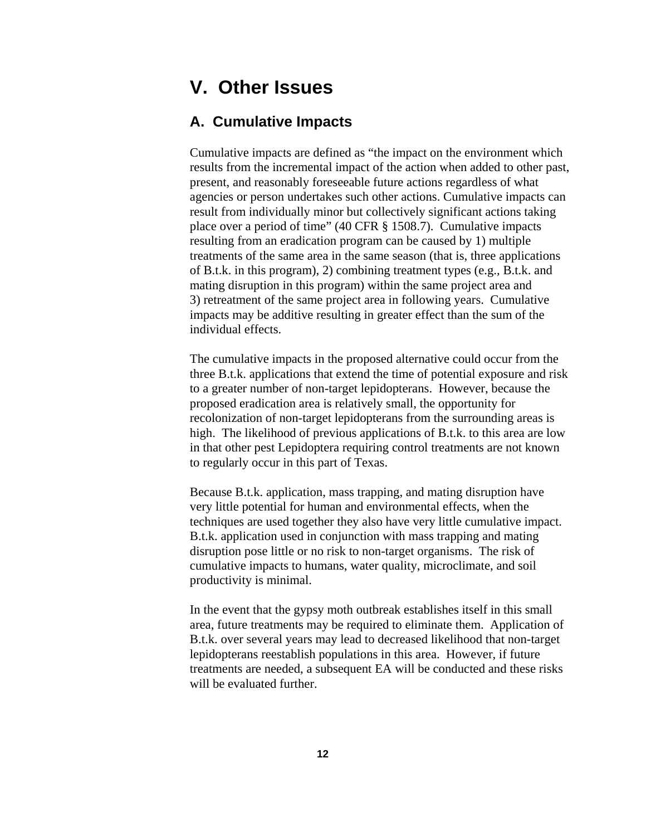# **V. Other Issues**

#### **A. Cumulative Impacts**

Cumulative impacts are defined as "the impact on the environment which results from the incremental impact of the action when added to other past, present, and reasonably foreseeable future actions regardless of what agencies or person undertakes such other actions. Cumulative impacts can result from individually minor but collectively significant actions taking place over a period of time" (40 CFR § 1508.7). Cumulative impacts resulting from an eradication program can be caused by 1) multiple treatments of the same area in the same season (that is, three applications of B.t.k. in this program), 2) combining treatment types (e.g., B.t.k. and mating disruption in this program) within the same project area and 3) retreatment of the same project area in following years. Cumulative impacts may be additive resulting in greater effect than the sum of the individual effects.

The cumulative impacts in the proposed alternative could occur from the three B.t.k. applications that extend the time of potential exposure and risk to a greater number of non-target lepidopterans. However, because the proposed eradication area is relatively small, the opportunity for recolonization of non-target lepidopterans from the surrounding areas is high. The likelihood of previous applications of B.t.k. to this area are low in that other pest Lepidoptera requiring control treatments are not known to regularly occur in this part of Texas.

Because B.t.k. application, mass trapping, and mating disruption have very little potential for human and environmental effects, when the techniques are used together they also have very little cumulative impact. B.t.k. application used in conjunction with mass trapping and mating disruption pose little or no risk to non-target organisms. The risk of cumulative impacts to humans, water quality, microclimate, and soil productivity is minimal.

In the event that the gypsy moth outbreak establishes itself in this small area, future treatments may be required to eliminate them. Application of B.t.k. over several years may lead to decreased likelihood that non-target lepidopterans reestablish populations in this area. However, if future treatments are needed, a subsequent EA will be conducted and these risks will be evaluated further.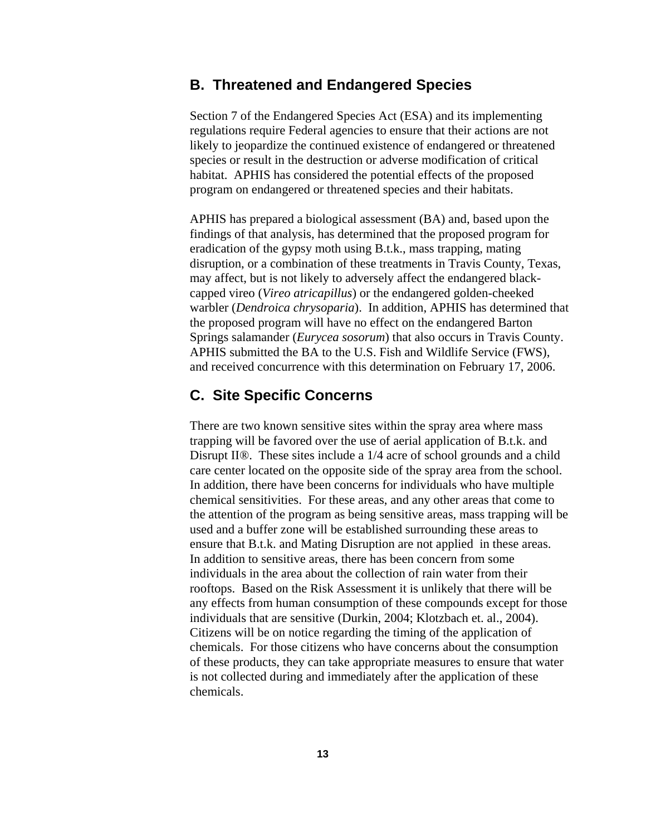#### **B. Threatened and Endangered Species**

Section 7 of the Endangered Species Act (ESA) and its implementing regulations require Federal agencies to ensure that their actions are not likely to jeopardize the continued existence of endangered or threatened species or result in the destruction or adverse modification of critical habitat. APHIS has considered the potential effects of the proposed program on endangered or threatened species and their habitats.

APHIS has prepared a biological assessment (BA) and, based upon the findings of that analysis, has determined that the proposed program for eradication of the gypsy moth using B.t.k., mass trapping, mating disruption, or a combination of these treatments in Travis County, Texas, may affect, but is not likely to adversely affect the endangered blackcapped vireo (*Vireo atricapillus*) or the endangered golden-cheeked warbler (*Dendroica chrysoparia*). In addition, APHIS has determined that the proposed program will have no effect on the endangered Barton Springs salamander (*Eurycea sosorum*) that also occurs in Travis County. APHIS submitted the BA to the U.S. Fish and Wildlife Service (FWS), and received concurrence with this determination on February 17, 2006.

#### **C. Site Specific Concerns**

There are two known sensitive sites within the spray area where mass trapping will be favored over the use of aerial application of B.t.k. and Disrupt II®. These sites include a 1/4 acre of school grounds and a child care center located on the opposite side of the spray area from the school. In addition, there have been concerns for individuals who have multiple chemical sensitivities. For these areas, and any other areas that come to the attention of the program as being sensitive areas, mass trapping will be used and a buffer zone will be established surrounding these areas to ensure that B.t.k. and Mating Disruption are not applied in these areas. In addition to sensitive areas, there has been concern from some individuals in the area about the collection of rain water from their rooftops. Based on the Risk Assessment it is unlikely that there will be any effects from human consumption of these compounds except for those individuals that are sensitive (Durkin, 2004; Klotzbach et. al., 2004). Citizens will be on notice regarding the timing of the application of chemicals. For those citizens who have concerns about the consumption of these products, they can take appropriate measures to ensure that water is not collected during and immediately after the application of these chemicals.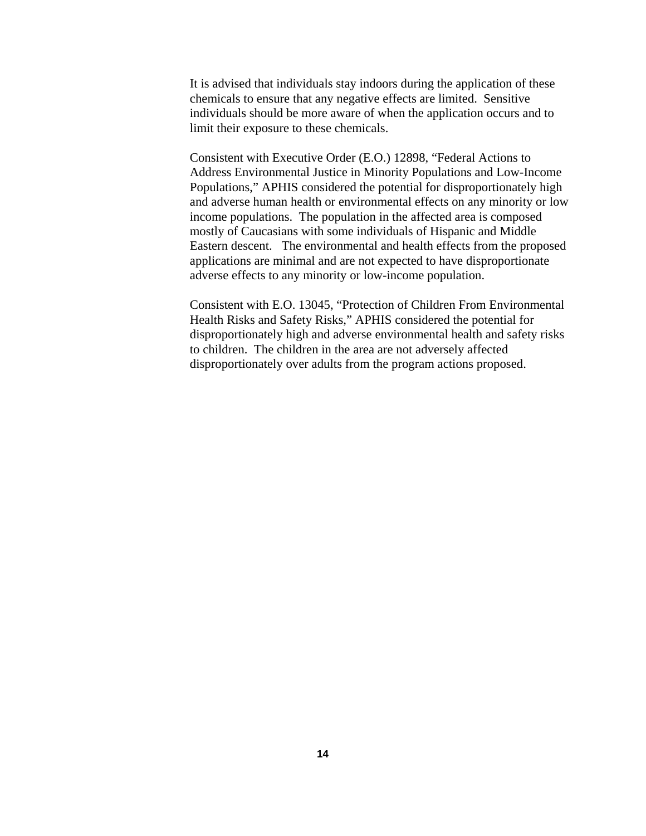It is advised that individuals stay indoors during the application of these chemicals to ensure that any negative effects are limited. Sensitive individuals should be more aware of when the application occurs and to limit their exposure to these chemicals.

Consistent with Executive Order (E.O.) 12898, "Federal Actions to Address Environmental Justice in Minority Populations and Low-Income Populations," APHIS considered the potential for disproportionately high and adverse human health or environmental effects on any minority or low income populations. The population in the affected area is composed mostly of Caucasians with some individuals of Hispanic and Middle Eastern descent. The environmental and health effects from the proposed applications are minimal and are not expected to have disproportionate adverse effects to any minority or low-income population.

Consistent with E.O. 13045, "Protection of Children From Environmental Health Risks and Safety Risks," APHIS considered the potential for disproportionately high and adverse environmental health and safety risks to children. The children in the area are not adversely affected disproportionately over adults from the program actions proposed.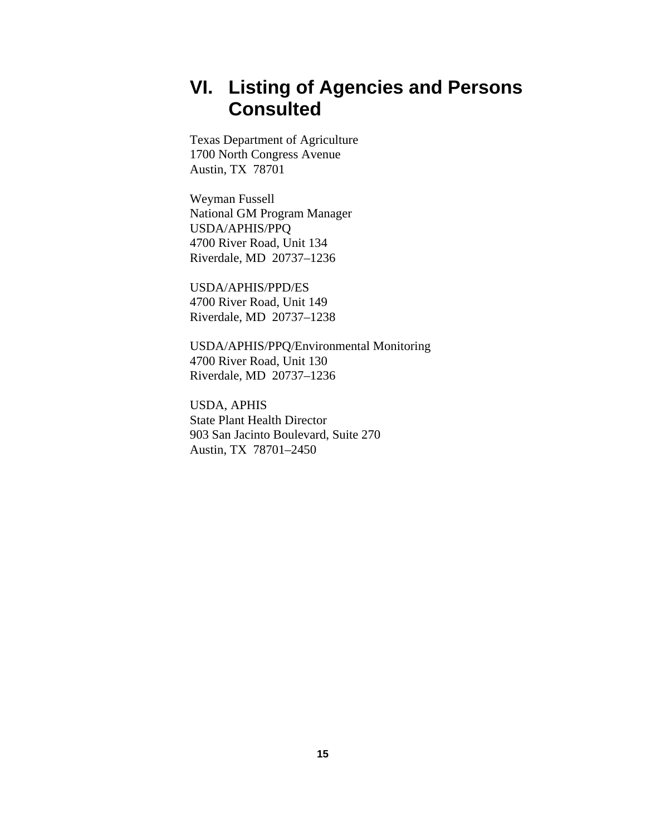# **VI. Listing of Agencies and Persons Consulted**

Texas Department of Agriculture 1700 North Congress Avenue Austin, TX 78701

Weyman Fussell National GM Program Manager USDA/APHIS/PPQ 4700 River Road, Unit 134 Riverdale, MD 20737–1236

USDA/APHIS/PPD/ES 4700 River Road, Unit 149 Riverdale, MD 20737–1238

USDA/APHIS/PPQ/Environmental Monitoring 4700 River Road, Unit 130 Riverdale, MD 20737–1236

USDA, APHIS State Plant Health Director 903 San Jacinto Boulevard, Suite 270 Austin, TX 78701–2450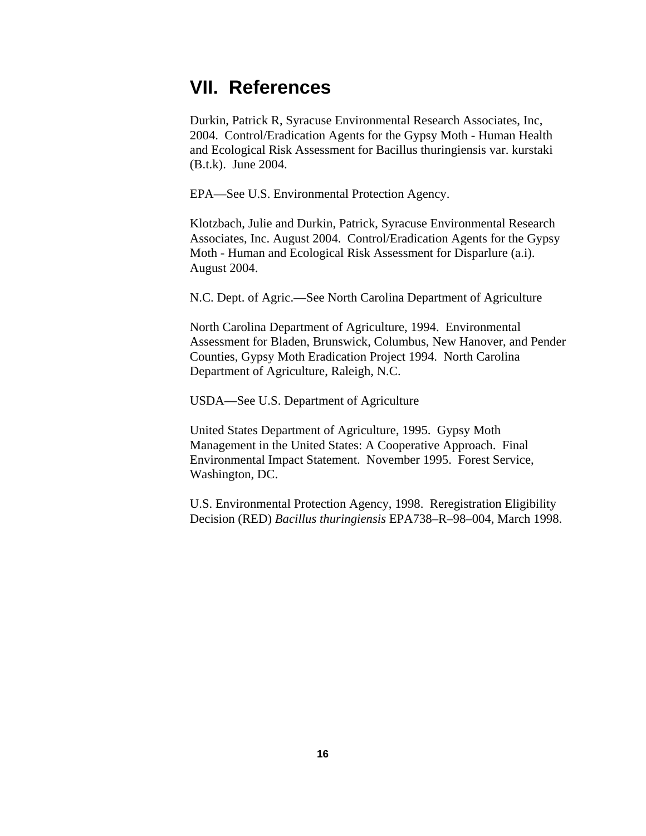## **VII. References**

Durkin, Patrick R, Syracuse Environmental Research Associates, Inc, 2004. Control/Eradication Agents for the Gypsy Moth - Human Health and Ecological Risk Assessment for Bacillus thuringiensis var. kurstaki (B.t.k). June 2004.

EPA—See U.S. Environmental Protection Agency.

Klotzbach, Julie and Durkin, Patrick, Syracuse Environmental Research Associates, Inc. August 2004. Control/Eradication Agents for the Gypsy Moth - Human and Ecological Risk Assessment for Disparlure (a.i). August 2004.

N.C. Dept. of Agric.—See North Carolina Department of Agriculture

North Carolina Department of Agriculture, 1994. Environmental Assessment for Bladen, Brunswick, Columbus, New Hanover, and Pender Counties, Gypsy Moth Eradication Project 1994. North Carolina Department of Agriculture, Raleigh, N.C.

USDA—See U.S. Department of Agriculture

United States Department of Agriculture, 1995. Gypsy Moth Management in the United States: A Cooperative Approach. Final Environmental Impact Statement. November 1995. Forest Service, Washington, DC.

U.S. Environmental Protection Agency, 1998. Reregistration Eligibility Decision (RED) *Bacillus thuringiensis* EPA738–R–98–004, March 1998.